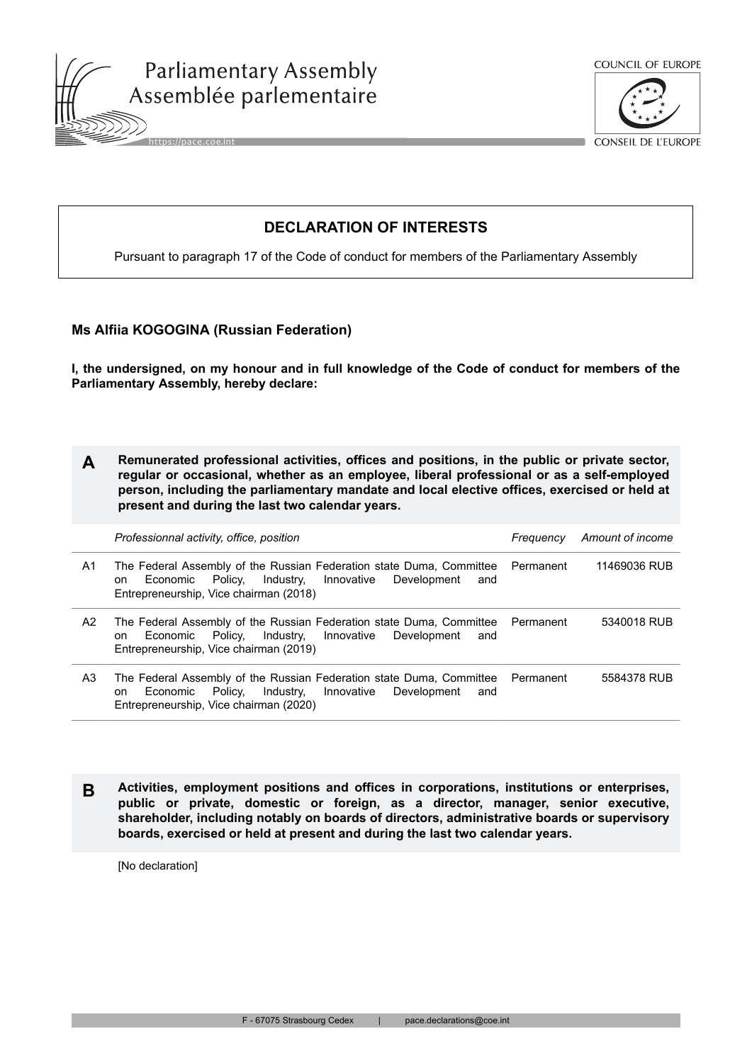





CONSEIL DE L'EUROPE

## **DECLARATION OF INTERESTS**

Pursuant to paragraph 17 of the Code of conduct for members of the Parliamentary Assembly

## **Ms Alfiia KOGOGINA (Russian Federation)**

**I, the undersigned, on my honour and in full knowledge of the Code of conduct for members of the Parliamentary Assembly, hereby declare:**

| Remunerated professional activities, offices and positions, in the public or private sector, |
|----------------------------------------------------------------------------------------------|
| regular or occasional, whether as an employee, liberal professional or as a self-employed    |
| person, including the parliamentary mandate and local elective offices, exercised or held at |
| present and during the last two calendar years.                                              |

|    | Professionnal activity, office, position                                                                                                                                                                | Freauencv | Amount of income |
|----|---------------------------------------------------------------------------------------------------------------------------------------------------------------------------------------------------------|-----------|------------------|
| A1 | The Federal Assembly of the Russian Federation state Duma, Committee Permanent<br>Policy.<br>Industry,<br>Innovative<br>Development<br>Economic<br>and<br>on.<br>Entrepreneurship, Vice chairman (2018) |           | 11469036 RUB     |
| A2 | The Federal Assembly of the Russian Federation state Duma, Committee Permanent<br>Policy, Industry, Innovative<br>Development<br>Economic<br>and<br>on.<br>Entrepreneurship, Vice chairman (2019)       |           | 5340018 RUB      |
| A3 | The Federal Assembly of the Russian Federation state Duma, Committee Permanent<br>Policy.<br>Industry.<br>Innovative<br>Development<br>Economic<br>and<br>on.<br>Entrepreneurship, Vice chairman (2020) |           | 5584378 RUB      |

**B Activities, employment positions and offices in corporations, institutions or enterprises, public or private, domestic or foreign, as a director, manager, senior executive, shareholder, including notably on boards of directors, administrative boards or supervisory boards, exercised or held at present and during the last two calendar years.**

[No declaration]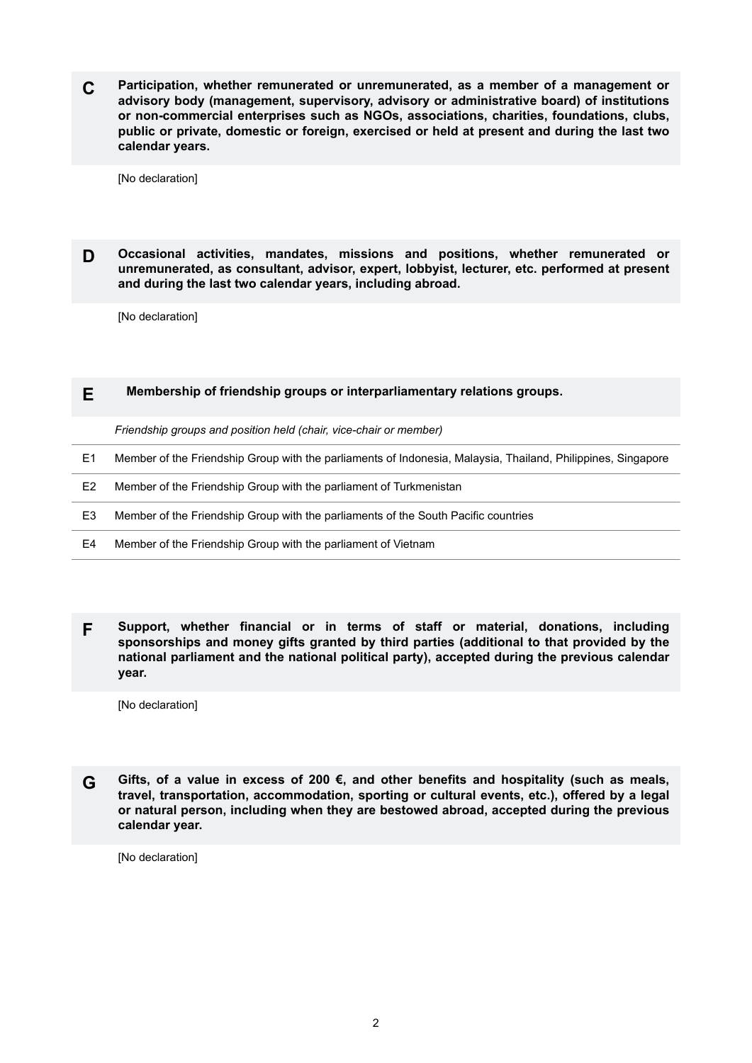**C Participation, whether remunerated or unremunerated, as a member of a management or advisory body (management, supervisory, advisory or administrative board) of institutions or non-commercial enterprises such as NGOs, associations, charities, foundations, clubs, public or private, domestic or foreign, exercised or held at present and during the last two calendar years.**

[No declaration]

**D Occasional activities, mandates, missions and positions, whether remunerated or unremunerated, as consultant, advisor, expert, lobbyist, lecturer, etc. performed at present and during the last two calendar years, including abroad.**

[No declaration]

## **E Membership of friendship groups or interparliamentary relations groups.**

*Friendship groups and position held (chair, vice-chair or member)*

- E1 Member of the Friendship Group with the parliaments of Indonesia, Malaysia, Thailand, Philippines, Singapore
- E2 Member of the Friendship Group with the parliament of Turkmenistan
- E3 Member of the Friendship Group with the parliaments of the South Pacific countries
- E4 Member of the Friendship Group with the parliament of Vietnam
- **F Support, whether financial or in terms of staff or material, donations, including sponsorships and money gifts granted by third parties (additional to that provided by the national parliament and the national political party), accepted during the previous calendar year.**

[No declaration]

**G Gifts, of a value in excess of 200 €, and other benefits and hospitality (such as meals, travel, transportation, accommodation, sporting or cultural events, etc.), offered by a legal or natural person, including when they are bestowed abroad, accepted during the previous calendar year.**

[No declaration]